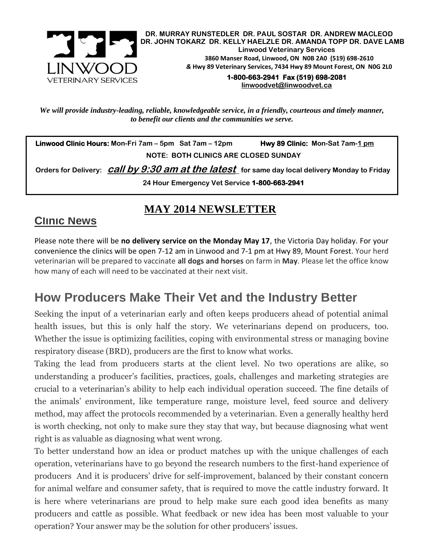

**DR. MURRAY RUNSTEDLER DR. PAUL SOSTAR DR. ANDREW MACLEOD DR. JOHN TOKARZ DR. KELLY HAELZLE DR. AMANDA TOPP DR. DAVE LAMB Linwood Veterinary Services 3860 Manser Road, Linwood, ON N0B 2A0 (519) 698-2610** *&* **Hwy 89 Veterinary Services, 7434 Hwy 89 Mount Forest, ON N0G 2L0**

**1-800-663-2941 Fax (519) 698-2081 [linwoodvet@linwoodvet.ca](mailto:linwoodvet@linwoodvet.ca)**

*We will provide industry-leading, reliable, knowledgeable service, in a friendly, courteous and timely manner, to benefit our clients and the communities we serve.*

 **Linwood Clinic Hours: Mon-Fri 7am – 5pm Sat 7am – 12pm Hwy 89 Clinic: Mon-Sat 7am-1 pm NOTE: BOTH CLINICS ARE CLOSED SUNDAY**

 **Orders for Delivery: call by 9:30 am at the latest for same day local delivery Monday to Friday 24 Hour Emergency Vet Service 1-800-663-2941** 

### **MAY 2014 NEWSLETTER**

### **Clinic News**

Please note there will be **no delivery service on the Monday May 17**, the Victoria Day holiday. For your convenience the clinics will be open 7-12 am in Linwood and 7-1 pm at Hwy 89, Mount Forest. Your herd veterinarian will be prepared to vaccinate **all dogs and horses** on farm in **May**. Please let the office know how many of each will need to be vaccinated at their next visit.

## **How Producers Make Their Vet and the Industry Better**

Seeking the input of a veterinarian early and often keeps producers ahead of potential animal health issues, but this is only half the story. We veterinarians depend on producers, too. Whether the issue is optimizing facilities, coping with environmental stress or managing bovine respiratory disease (BRD), producers are the first to know what works.

Taking the lead from producers starts at the client level. No two operations are alike, so understanding a producer's facilities, practices, goals, challenges and marketing strategies are crucial to a veterinarian's ability to help each individual operation succeed. The fine details of the animals' environment, like temperature range, moisture level, feed source and delivery method, may affect the protocols recommended by a veterinarian. Even a generally healthy herd is worth checking, not only to make sure they stay that way, but because diagnosing what went right is as valuable as diagnosing what went wrong.

To better understand how an idea or product matches up with the unique challenges of each operation, veterinarians have to go beyond the research numbers to the first-hand experience of producers And it is producers' drive for self-improvement, balanced by their constant concern for animal welfare and consumer safety, that is required to move the cattle industry forward. It is here where veterinarians are proud to help make sure each good idea benefits as many producers and cattle as possible. What feedback or new idea has been most valuable to your operation? Your answer may be the solution for other producers' issues.